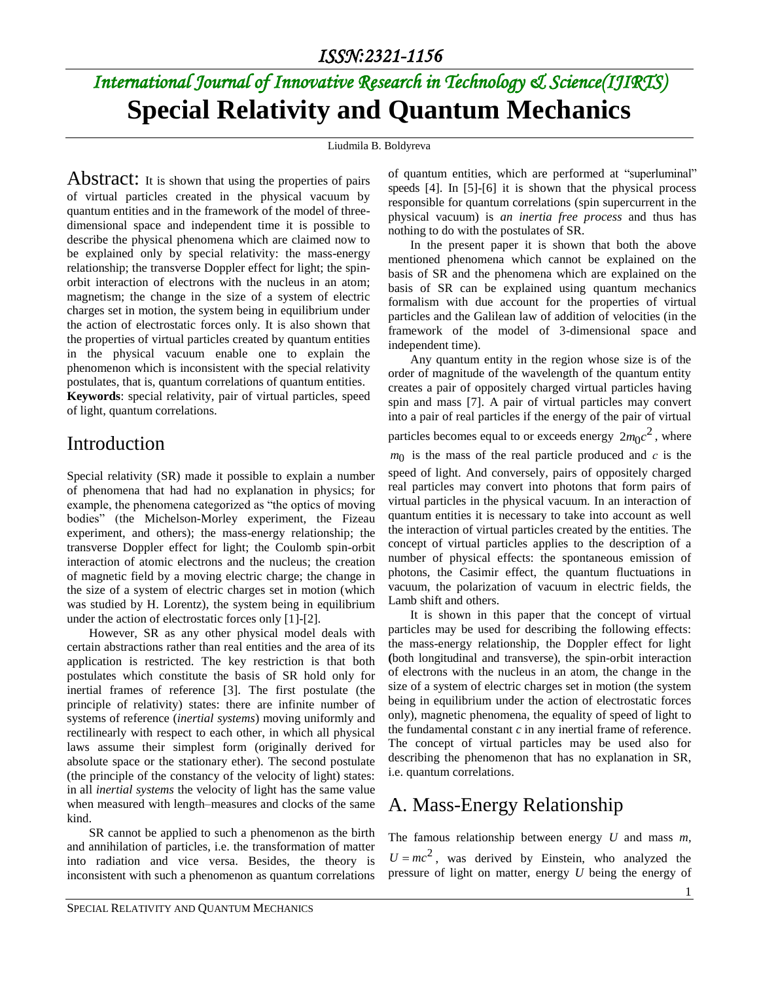# *International Journal of Innovative Research in Technology & Science(IJIRTS)* **Special Relativity and Quantum Mechanics**

Liudmila B. Boldyreva

Abstract: It is shown that using the properties of pairs of virtual particles created in the physical vacuum by quantum entities and in the framework of the model of threedimensional space and independent time it is possible to describe the physical phenomena which are claimed now to be explained only by special relativity: the mass-energy relationship; the transverse Doppler effect for light; the spinorbit interaction of electrons with the nucleus in an atom; magnetism; the change in the size of a system of electric charges set in motion, the system being in equilibrium under the action of electrostatic forces only. It is also shown that the properties of virtual particles created by quantum entities in the physical vacuum enable one to explain the phenomenon which is inconsistent with the special relativity postulates, that is, quantum correlations of quantum entities.

**Keywords**: special relativity, pair of virtual particles, speed of light, quantum correlations.

#### Introduction

Special relativity (SR) made it possible to explain a number of phenomena that had had no explanation in physics; for example, the phenomena categorized as "the optics of moving bodies" (the Michelson-Morley experiment, the Fizeau experiment, and others); the mass-energy relationship; the transverse Doppler effect for light; the Coulomb spin-orbit interaction of atomic electrons and the nucleus; the creation of magnetic field by a moving electric charge; the change in the size of a system of electric charges set in motion (which was studied by H. Lorentz), the system being in equilibrium under the action of electrostatic forces only [1]-[2].

However, SR as any other physical model deals with certain abstractions rather than real entities and the area of its application is restricted. The key restriction is that both postulates which constitute the basis of SR hold only for inertial frames of reference [3]. The first postulate (the principle of relativity) states: there are infinite number of systems of reference (*inertial systems*) moving uniformly and rectilinearly with respect to each other, in which all physical laws assume their simplest form (originally derived for absolute space or the stationary ether). The second postulate (the principle of the constancy of the velocity of light) states: in all *inertial systems* the velocity of light has the same value when measured with length–measures and clocks of the same kind.

SR cannot be applied to such a phenomenon as the birth and annihilation of particles, i.e. the transformation of matter into radiation and vice versa. Besides, the theory is inconsistent with such a phenomenon as quantum correlations of quantum entities, which are performed at "superluminal" speeds [4]. In [5]-[6] it is shown that the physical process responsible for quantum correlations (spin supercurrent in the physical vacuum) is *an inertia free process* and thus has nothing to do with the postulates of SR.

In the present paper it is shown that both the above mentioned phenomena which cannot be explained on the basis of SR and the phenomena which are explained on the basis of SR can be explained using quantum mechanics formalism with due account for the properties of virtual particles and the Galilean law of addition of velocities (in the framework of the model of 3-dimensional space and independent time).

Any quantum entity in the region whose size is of the order of magnitude of the wavelength of the quantum entity creates a pair of oppositely charged virtual particles having spin and mass [7]. A pair of virtual particles may convert into a pair of real particles if the energy of the pair of virtual particles becomes equal to or exceeds energy  $2m_0c^2$ , where *m*0 is the mass of the real particle produced and *с* is the speed of light. And conversely, pairs of oppositely charged real particles may convert into photons that form pairs of virtual particles in the physical vacuum. In an interaction of quantum entities it is necessary to take into account as well the interaction of virtual particles created by the entities. The concept of virtual particles applies to the description of a number of physical effects: the spontaneous emission of photons, the Casimir effect, the quantum fluctuations in vacuum, the polarization of vacuum in electric fields, the Lamb shift and others.

It is shown in this paper that the concept of virtual particles may be used for describing the following effects: the mass-energy relationship, the Doppler effect for light **(**both longitudinal and transverse), the spin-orbit interaction of electrons with the nucleus in an atom, the change in the size of a system of electric charges set in motion (the system being in equilibrium under the action of electrostatic forces only), magnetic phenomena, the equality of speed of light to the fundamental constant *c* in any inertial frame of reference. The concept of virtual particles may be used also for describing the phenomenon that has no explanation in SR, i.e. quantum correlations.

#### A. Mass-Energy Relationship

The famous relationship between energy *U* and mass *m*,  $U = mc^2$ , was derived by Einstein, who analyzed the pressure of light on matter, energy *U* being the energy of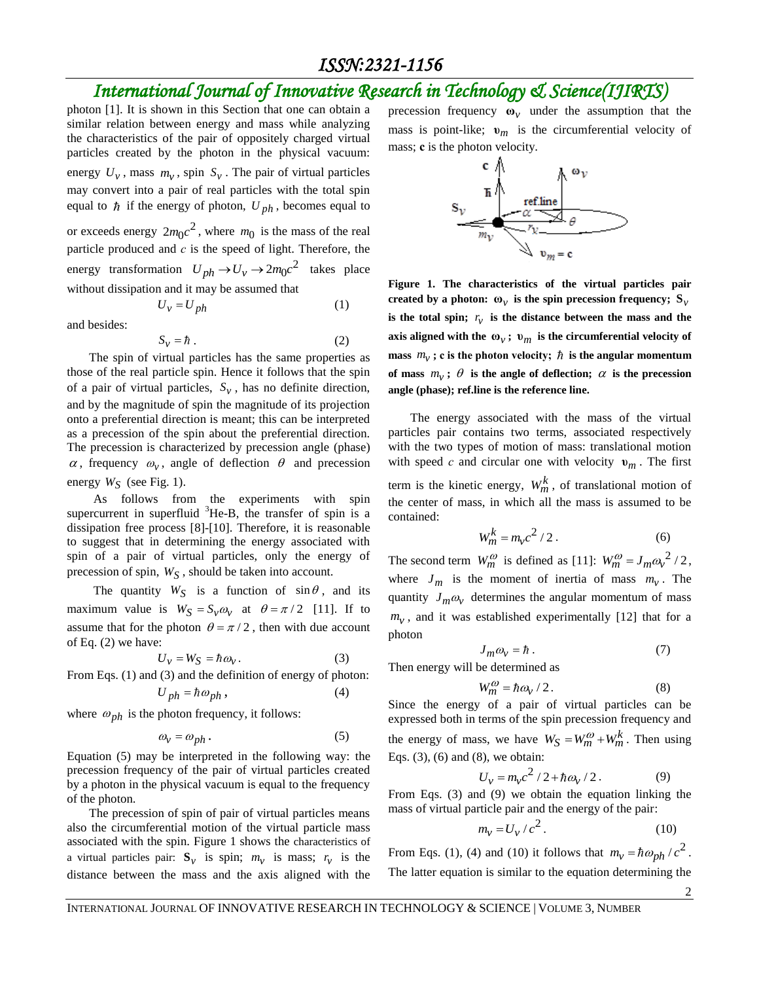### *International Journal of Innovative Research in Technology & Science(IJIRTS)*

photon [1]. It is shown in this Section that one can obtain a similar relation between energy and mass while analyzing the characteristics of the pair of oppositely charged virtual particles created by the photon in the physical vacuum: energy  $U_v$ , mass  $m_v$ , spin  $S_v$ . The pair of virtual particles may convert into a pair of real particles with the total spin equal to  $\hbar$  if the energy of photon,  $U_{ph}$ , becomes equal to or exceeds energy  $2m_0c^2$ , where  $m_0$  is the mass of the real particle produced and *с* is the speed of light. Therefore, the energy transformation  $U_{ph} \rightarrow U_v \rightarrow 2m_0c^2$  takes place without dissipation and it may be assumed that

$$
U_{\nu} = U_{ph} \tag{1}
$$

and besides:

$$
S_{\nu} = \hbar \tag{2}
$$

The spin of virtual particles has the same properties as those of the real particle spin. Hence it follows that the spin of a pair of virtual particles,  $S_v$ , has no definite direction, and by the magnitude of spin the magnitude of its projection onto a preferential direction is meant; this can be interpreted as a precession of the spin about the preferential direction. The precession is characterized by precession angle (phase)  $\alpha$ , frequency  $\omega_{v}$ , angle of deflection  $\theta$  and precession energy *WS* (see Fig. 1).

As follows from the experiments with spin supercurrent in superfluid  ${}^{3}$ He-B, the transfer of spin is a dissipation free process [8]-[10]. Therefore, it is reasonable to suggest that in determining the energy associated with spin of a pair of virtual particles, only the energy of precession of spin, *WS* , should be taken into account.

The quantity  $W_S$  is a function of  $\sin \theta$ , and its maximum value is  $W_S = S_v \omega_v$  at  $\theta = \pi/2$  [11]. If to assume that for the photon  $\theta = \pi/2$ , then with due account of Eq. (2) we have:

$$
U_{\nu} = W_S = \hbar \omega_{\nu}.
$$
 (3)

From Eqs. (1) and (3) and the definition of energy of photon:

$$
U_{ph} = \hbar \omega_{ph} , \qquad (4)
$$

where  $\omega_{ph}$  is the photon frequency, it follows:

$$
\omega_{v} = \omega_{ph} . \tag{5}
$$

Equation (5) may be interpreted in the following way: the precession frequency of the pair of virtual particles created by a photon in the physical vacuum is equal to the frequency of the photon.

The precession of spin of pair of virtual particles means also the circumferential motion of the virtual particle mass associated with the spin. Figure 1 shows the characteristics of a virtual particles pair:  $S_v$  is spin;  $m_v$  is mass;  $r_v$  is the distance between the mass and the axis aligned with the

precession frequency  $\mathbf{\omega}_v$  under the assumption that the mass is point-like;  $v_m$  is the circumferential velocity of mass; **с** is the photon velocity.



**Figure 1. The characteristics of the virtual particles pair**  created by a photon:  $\boldsymbol{\omega}_{\nu}$  is the spin precession frequency;  $\mathbf{S}_{\nu}$ is the total spin;  $r_v$  is the distance between the mass and the **axis aligned with the**  $\omega_{\nu}$ **;**  $\upsilon_{m}$  **is the circumferential velocity of mass**  $m_v$ ; **c** is the photon velocity;  $\hbar$  is the angular momentum of mass  $m_v$ ;  $\theta$  is the angle of deflection;  $\alpha$  is the precession **angle (phase); ref.line is the reference line.**

The energy associated with the mass of the virtual particles pair contains two terms, associated respectively with the two types of motion of mass: translational motion with speed *c* and circular one with velocity  $v_m$ . The first term is the kinetic energy,  $W_m^k$ , of translational motion of the center of mass, in which all the mass is assumed to be contained:

$$
W_m^k = m_v c^2 / 2. \tag{6}
$$

The second term  $W_m^{\omega}$  is defined as [11]:  $W_m^{\omega} = J_m \omega_v^2 / 2$ , where  $J_m$  is the moment of inertia of mass  $m_v$ . The quantity  $J_m \omega$  determines the angular momentum of mass  $m<sub>v</sub>$ , and it was established experimentally [12] that for a photon

$$
J_m \omega_v = \hbar \ . \tag{7}
$$

Then energy will be determined as

$$
W_m^{\omega} = \hbar \omega_v / 2. \tag{8}
$$

Since the energy of a pair of virtual particles can be expressed both in terms of the spin precession frequency and the energy of mass, we have  $W_S = W_m^{\omega} + W_m^k$ . Then using Eqs. (3), (6) and (8), we obtain:

$$
U_{v} = m_{v}c^{2}/2 + \hbar \omega_{v}/2.
$$
 (9)

From Eqs. (3) and (9) we obtain the equation linking the mass of virtual particle pair and the energy of the pair:

$$
m_{\mathcal{V}} = U_{\mathcal{V}} / c^2. \tag{10}
$$

From Eqs. (1), (4) and (10) it follows that  $m_v = \hbar \omega_{ph} / c^2$ . The latter equation is similar to the equation determining the

2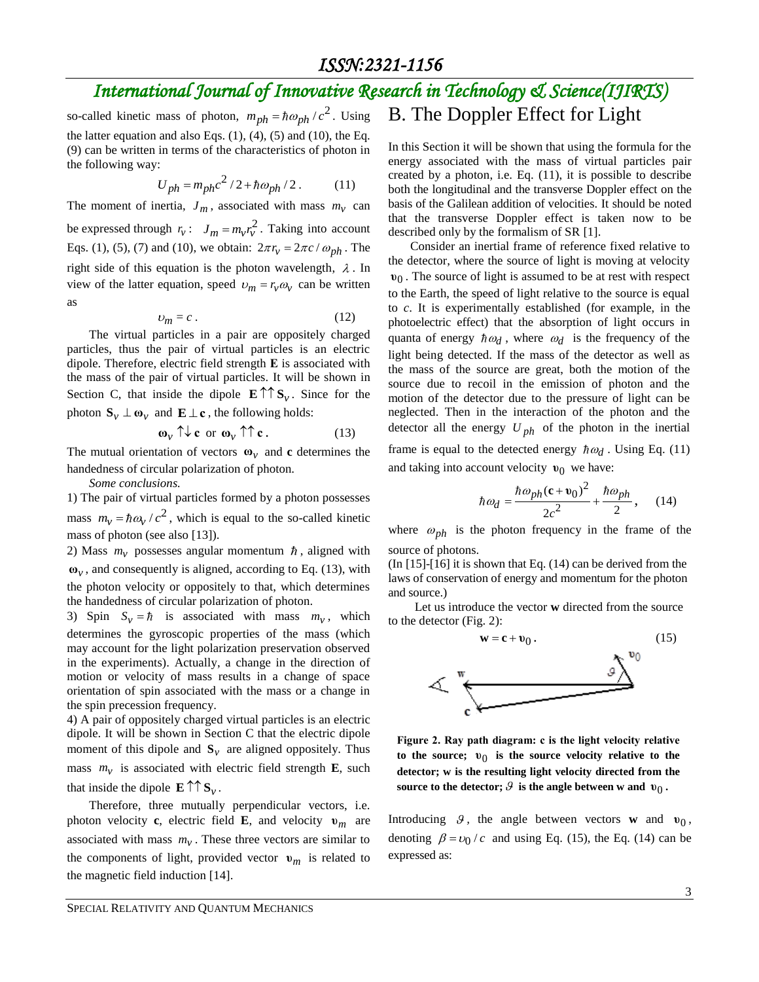so-called kinetic mass of photon,  $m_{ph} = \hbar \omega_{ph} / c^2$ . Using the latter equation and also Eqs.  $(1)$ ,  $(4)$ ,  $(5)$  and  $(10)$ , the Eq. (9) can be written in terms of the characteristics of photon in the following way:

$$
U_{ph} = m_{ph}c^2/2 + \hbar\omega_{ph}/2. \tag{11}
$$

The moment of inertia,  $J_m$ , associated with mass  $m_v$  can be expressed through  $r_v$ :  $J_m = m_v r_v^2$ . Taking into account Eqs. (1), (5), (7) and (10), we obtain:  $2\pi r_v = 2\pi c / \omega_{ph}$ . The right side of this equation is the photon wavelength,  $\lambda$ . In view of the latter equation, speed  $v_m = r_v \omega_v$  can be written as

$$
v_m = c \,. \tag{12}
$$

The virtual particles in a pair are oppositely charged particles, thus the pair of virtual particles is an electric dipole. Therefore, electric field strength **Е** is associated with the mass of the pair of virtual particles. It will be shown in Section C, that inside the dipole  $\mathbf{E} \uparrow \uparrow \mathbf{S}_{v}$ . Since for the photon  $\mathbf{S}_v \perp \mathbf{\omega}_v$  and  $\mathbf{E} \perp \mathbf{c}$ , the following holds:

$$
\omega_{\nu} \uparrow \downarrow \mathbf{c} \text{ or } \omega_{\nu} \uparrow \uparrow \mathbf{c}. \tag{13}
$$

The mutual orientation of vectors  $\mathbf{\omega}_v$  and **c** determines the handedness of circular polarization of photon.

*Some conclusions.*

1) The pair of virtual particles formed by a photon possesses mass  $m_v = \hbar \omega_v / c^2$ , which is equal to the so-called kinetic mass of photon (see also [13]).

2) Mass  $m<sub>v</sub>$  possesses angular momentum  $\hbar$ , aligned with **ω***v* , and consequently is aligned, according to Eq. (13), with the photon velocity or oppositely to that, which determines the handedness of circular polarization of photon.

3) Spin  $S_v = \hbar$  is associated with mass  $m_v$ , which determines the gyroscopic properties of the mass (which may account for the light polarization preservation observed in the experiments). Actually, a change in the direction of motion or velocity of mass results in a change of space orientation of spin associated with the mass or a change in the spin precession frequency.

4) A pair of oppositely charged virtual particles is an electric dipole. It will be shown in Section C that the electric dipole moment of this dipole and  $S_v$  are aligned oppositely. Thus mass  $m<sub>v</sub>$  is associated with electric field strength **E**, such that inside the dipole  $\mathbf{E} \uparrow \uparrow \mathbf{S}_{\nu}$ .

Therefore, three mutually perpendicular vectors, i.e. photon velocity **c**, electric field **E**, and velocity **υ***m* are associated with mass  $m<sub>v</sub>$ . These three vectors are similar to the components of light, provided vector  $\mathbf{v}_m$  is related to the magnetic field induction [14].

#### B. The Doppler Effect for Light

In this Section it will be shown that using the formula for the energy associated with the mass of virtual particles pair created by a photon, i.e. Eq. (11), it is possible to describe both the longitudinal and the transverse Doppler effect on the basis of the Galilean addition of velocities. It should be noted that the transverse Doppler effect is taken now to be described only by the formalism of SR [1].

Consider an inertial frame of reference fixed relative to the detector, where the source of light is moving at velocity 0**υ** . The source of light is assumed to be at rest with respect to the Earth, the speed of light relative to the source is equal to *c*. It is experimentally established (for example, in the photoelectric effect) that the absorption of light occurs in quanta of energy  $\hbar \omega_d$ , where  $\omega_d$  is the frequency of the light being detected. If the mass of the detector as well as the mass of the source are great, both the motion of the source due to recoil in the emission of photon and the motion of the detector due to the pressure of light can be neglected. Then in the interaction of the photon and the detector all the energy  $U_{ph}$  of the photon in the inertial frame is equal to the detected energy  $\hbar \omega_d$ . Using Eq. (11) and taking into account velocity **υ**<sub>0</sub> we have:

$$
h\omega_{ph} = \frac{\hbar\omega_{ph}(\mathbf{c} + \mathbf{v}_0)^2}{\hbar\omega_{ph}}
$$

$$
\hbar \omega_d = \frac{\hbar \omega_{ph} (\mathbf{c} + \mathbf{v}_0)^2}{2c^2} + \frac{\hbar \omega_{ph}}{2}, \quad (14)
$$

where  $\omega_{ph}$  is the photon frequency in the frame of the source of photons.

(In [15]-[16] it is shown that Eq. (14) can be derived from the laws of conservation of energy and momentum for the photon and source.)

Let us introduce the vector **w** directed from the source to the detector (Fig. 2):



**Figure 2. Ray path diagram: с is the light velocity relative to the source;**  0**υ is the source velocity relative to the detector; w is the resulting light velocity directed from the source to the detector;**  $\mathcal{G}$  is the angle between w and  $\mathbf{v}_0$ .

Introducing  $\theta$ , the angle between vectors **w** and  $v_0$ , denoting  $\beta = v_0/c$  and using Eq. (15), the Eq. (14) can be expressed as: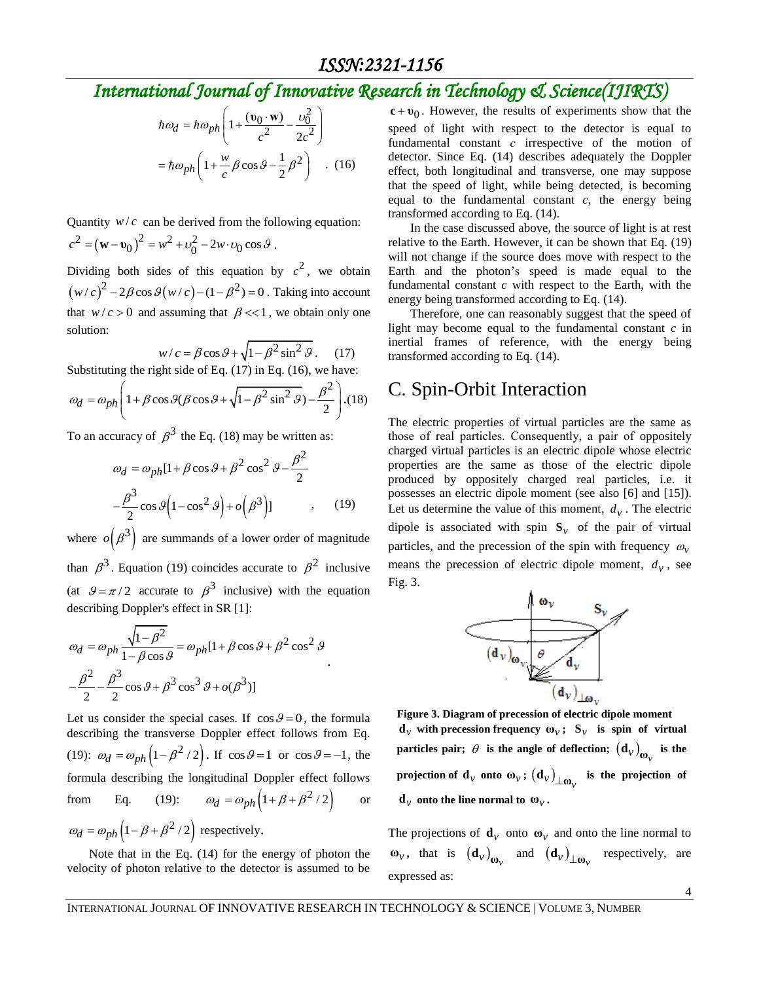$$
\hbar \omega_d = \hbar \omega_{ph} \left( 1 + \frac{(\mathbf{v}_0 \cdot \mathbf{w})}{c^2} - \frac{\omega_0^2}{2c^2} \right)
$$

$$
= \hbar \omega_{ph} \left( 1 + \frac{w}{c} \beta \cos \beta - \frac{1}{2} \beta^2 \right) . (16)
$$

Quantity  $w/c$  can be derived from the following equation: Quantity  $w/c$  can be derived from the ronox<br> $c^2 = (\mathbf{w} - \mathbf{v}_0)^2 = w^2 + v_0^2 - 2w \cdot v_0 \cos \theta$ .

Dividing both sides of this equation by  $c^2$ , we obtain  $(w/c)^2 - 2\beta \cos \theta (w/c) - (1 - \beta^2) = 0$ . Taking into account that  $w/c > 0$  and assuming that  $\beta \ll 1$ , we obtain only one solution:

$$
w/c = \beta \cos \theta + \sqrt{1 - \beta^2 \sin^2 \theta}.
$$
 (17)

Substituting the right side of Eq. (17) in Eq. (16), we have:  
\n
$$
\omega_d = \omega_{ph} \left( 1 + \beta \cos \theta (\beta \cos \theta + \sqrt{1 - \beta^2 \sin^2 \theta}) - \frac{\beta^2}{2} \right). (18)
$$

To an accuracy of  $\beta^3$  the Eq. (18) may be written as:

$$
\omega_d = \omega_{ph} [1 + \beta \cos \theta + \beta^2 \cos^2 \theta - \frac{\beta^2}{2}
$$

$$
-\frac{\beta^3}{2} \cos \theta \left(1 - \cos^2 \theta\right) + o\left(\beta^3\right)] \qquad , \qquad (19)
$$

where  $o(\beta^3)$  are summands of a lower order of magnitude than  $\beta^3$ . Equation (19) coincides accurate to  $\beta^2$  inclusive (at  $\theta = \pi/2$  accurate to  $\beta^3$  inclusive) with the equation describing Doppler's effect in SR [1]:

$$
\omega_d = \omega_{ph} \frac{\sqrt{1 - \beta^2}}{1 - \beta \cos \theta} = \omega_{ph} [1 + \beta \cos \theta + \beta^2 \cos^2 \theta
$$

$$
-\frac{\beta^2}{2} - \frac{\beta^3}{2} \cos \theta + \beta^3 \cos^3 \theta + o(\beta^3)]
$$

Let us consider the special cases. If  $\cos \theta = 0$ , the formula describing the transverse Doppler effect follows from Eq. (19):  $\omega_d = \omega_{ph} \left( 1 - \beta^2 / 2 \right)$ . If  $\cos \theta = 1$  or  $\cos \theta = -1$ , the formula describing the longitudinal Doppler effect follows from Eq. (19):  $\omega_d = \omega_{ph} (1 + \beta + \beta^2 / 2)$ or  $\omega_d = \omega_{ph} \left( 1 - \beta + \beta^2 / 2 \right)$  respectively.

Note that in the Eq. (14) for the energy of photon the velocity of photon relative to the detector is assumed to be

 0 **c υ** . However, the results of experiments show that the speed of light with respect to the detector is equal to fundamental constant *с* irrespective of the motion of detector. Since Eq. (14) describes adequately the Doppler effect, both longitudinal and transverse, one may suppose that the speed of light, while being detected, is becoming equal to the fundamental constant  $c$ , the energy being transformed according to Eq. (14).

In the case discussed above, the source of light is at rest relative to the Earth. However, it can be shown that Eq. (19) will not change if the source does move with respect to the Earth and the photon's speed is made equal to the fundamental constant *c* with respect to the Earth, with the energy being transformed according to Eq. (14).

Therefore, one can reasonably suggest that the speed of light may become equal to the fundamental constant *c* in inertial frames of reference, with the energy being transformed according to Eq. (14).

#### C. Spin-Orbit Interaction

 $log_4 = log_4(1 + \frac{1}{2}cos\theta + \frac{1}{2}sin^2\theta)$ <br>  $= 2log_4(1 + \frac{1}{2}cos\theta + \frac{1}{2}sin^2\theta)$  . (16) the formula in the spectrum of the spectrum of the spectrum of the spectrum of the spectrum of the spectrum of the spectrum of the spectrum The electric properties of virtual particles are the same as those of real particles. Consequently, а pair of oppositely charged virtual particles is an electric dipole whose electric properties are the same as those of the electric dipole produced by oppositely charged real particles, i.e. it possesses an electric dipole moment (see also [6] and [15]). Let us determine the value of this moment,  $d_v$ . The electric dipole is associated with spin  $S_v$  of the pair of virtual particles, and the precession of the spin with frequency  $\omega_{v}$ means the precession of electric dipole moment,  $d<sub>v</sub>$ , see Fig. 3.



**Figure 3. Diagram of precession of electric dipole moment d**<sub>*v*</sub> with precession frequency  $\omega_v$ ;  $S_v$  is spin of virtual  ${\bf$  particles pair;  $\theta$  is the angle of deflection;  $\left({\bf d}_{\nu}\right)_{{\bf \omega}_{\nu}}$ **is the projection of**  $\mathbf{d}_{\nu}$  **onto**  $\mathbf{\omega}_{\nu}$ **;**  $(\mathbf{d}_{\nu})_{\perp\mathbf{\omega}_{\nu}}$  **is the projection of**  $\mathbf{d}_{\nu}$  onto the line normal to  $\mathbf{\omega}_{\nu}$ .

The projections of  $\mathbf{d}_v$  onto  $\mathbf{\omega}_v$  and onto the line normal to  $\omega_{\nu}$ , that is  $(d_{\nu})_{\omega_{\nu}}$  and  $(d_{\nu})_{\omega_{\nu}}$  respectively, are expressed as: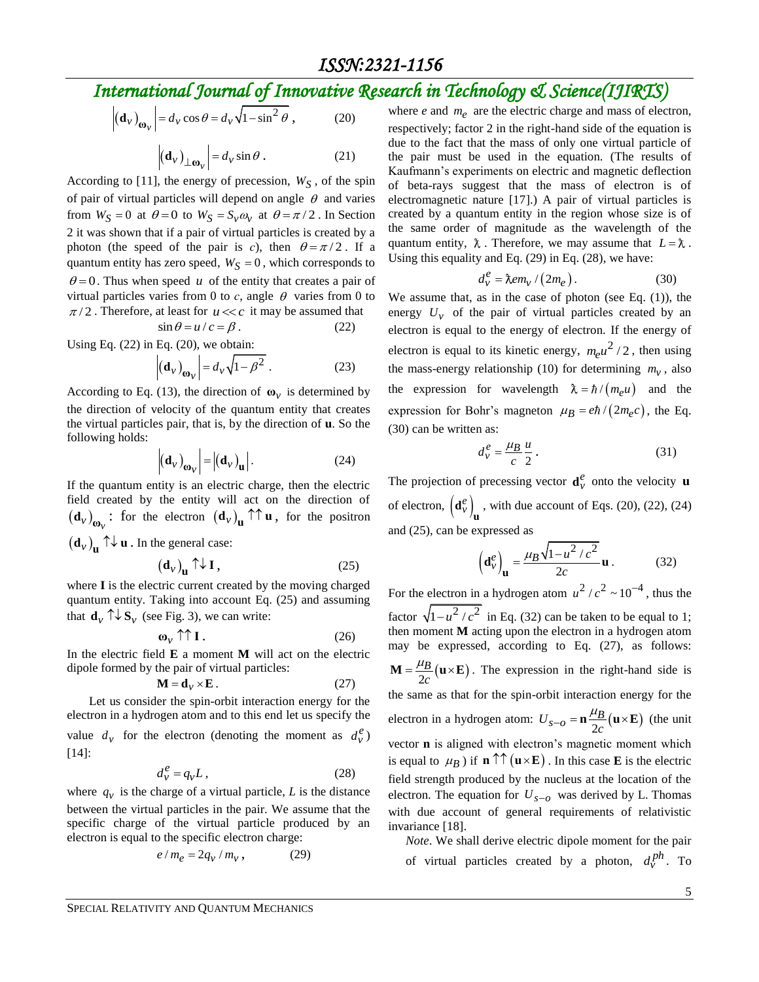$$
\left| \left( \mathbf{d}_{\nu} \right)_{\mathbf{\omega}_{\nu}} \right| = d_{\nu} \cos \theta = d_{\nu} \sqrt{1 - \sin^2 \theta} \,, \tag{20}
$$

$$
\left| \left( \mathbf{d}_{\nu} \right)_{\perp \mathbf{\omega}_{\nu}} \right| = d_{\nu} \sin \theta . \tag{21}
$$

According to [11], the energy of precession,  $W_S$ , of the spin of pair of virtual particles will depend on angle  $\theta$  and varies from  $W_S = 0$  at  $\theta = 0$  to  $W_S = S_v \omega_v$  at  $\theta = \pi/2$ . In Section 2 it was shown that if a pair of virtual particles is created by a photon (the speed of the pair is *c*), then  $\theta = \pi/2$ . If a quantum entity has zero speed,  $W_S = 0$ , which corresponds to  $\theta = 0$ . Thus when speed u of the entity that creates a pair of virtual particles varies from 0 to  $c$ , angle  $\theta$  varies from 0 to  $\pi/2$ . Therefore, at least for  $u \ll c$  it may be assumed that

$$
\sin \theta = u/c = \beta. \tag{22}
$$

Using Eq.  $(22)$  in Eq.  $(20)$ , we obtain:

$$
\left| \left( \mathbf{d}_{\nu} \right)_{\mathbf{\omega}_{\nu}} \right| = d_{\nu} \sqrt{1 - \beta^2} \ . \tag{23}
$$

According to Eq. (13), the direction of  $\omega_{\nu}$  is determined by the direction of velocity of the quantum entity that creates the virtual particles pair, that is, by the direction of **u**. So the following holds:

$$
\left| \left( \mathbf{d}_{\nu} \right)_{\mathbf{\omega}_{\nu}} \right| = \left| \left( \mathbf{d}_{\nu} \right)_{\mathbf{u}} \right|.
$$
 (24)

If the quantum entity is an electric charge, then the electric field created by the entity will act on the direction of  $(\mathbf{d}_{\nu})_{\mathbf{w}_{\nu}}$ : for the electron  $(\mathbf{d}_{\nu})_{\mathbf{u}} \uparrow \uparrow \mathbf{u}$ , for the positron  $(\mathbf{d}_{v})_{\mathbf{u}} \uparrow \downarrow \mathbf{u}$  . In the general case:

$$
\left(\mathbf{d}_{\nu}\right)_{\mathbf{u}} \uparrow \downarrow \mathbf{I},\tag{25}
$$

where **I** is the electric current created by the moving charged quantum entity. Taking into account Eq. (25) and assuming that  $\mathbf{d}_{v} \uparrow \downarrow \mathbf{S}_{v}$  (see Fig. 3), we can write:

$$
\omega_{\nu} \uparrow \uparrow I. \tag{26}
$$

In the electric field **E** a moment **M** will act on the electric dipole formed by the pair of virtual particles:

$$
\mathbf{M} = \mathbf{d}_{\nu} \times \mathbf{E} \,. \tag{27}
$$

Let us consider the spin-orbit interaction energy for the electron in a hydrogen atom and to this end let us specify the value  $d_v$  for the electron (denoting the moment as  $d_v^e$ ) [14]:

$$
d_v^e = q_v L, \t\t(28)
$$

where  $q_v$  is the charge of a virtual particle, *L* is the distance between the virtual particles in the pair. We assume that the specific charge of the virtual particle produced by an electron is equal to the specific electron charge:

$$
e/m_e = 2q_v/m_v, \qquad (29)
$$

where  $e$  and  $m_e$  are the electric charge and mass of electron, respectively; factor 2 in the right-hand side of the equation is due to the fact that the mass of only one virtual particle of the pair must be used in the equation. (The results of Kaufmann's experiments on electric and magnetic deflection of beta-rays suggest that the mass of electron is of electromagnetic nature [17].) A pair of virtual particles is created by a quantum entity in the region whose size is of the same order of magnitude as the wavelength of the quantum entity,  $\lambda$ . Therefore, we may assume that  $L = \lambda$ . Using this equality and Eq. (29) in Eq. (28), we have:

$$
d_v^e = \lambda e m_v / (2m_e). \tag{30}
$$

We assume that, as in the case of photon (see Eq.  $(1)$ ), the energy  $U_v$  of the pair of virtual particles created by an electron is equal to the energy of electron. If the energy of electron is equal to its kinetic energy,  $m_e u^2/2$ , then using the mass-energy relationship (10) for determining  $m<sub>v</sub>$ , also the expression for wavelength  $\lambda = \hbar / (m_e u)$  and the expression for Bohr's magneton  $\mu_B = e\hbar/(2m_e c)$ , the Eq. (30) can be written as:

$$
d_v^e = \frac{\mu_B u}{c \ 2} \,. \tag{31}
$$

The projection of precessing vector  $\mathbf{d}^e_v$  onto the velocity **u** of electron,  $\left(\mathbf{d}_{v}^{e}\right)_{\mathbf{u}}$ , with due account of Eqs. (20), (22), (24) and (25), can be expressed as

$$
\left(\mathbf{d}_{\nu}^{e}\right)_{\mathbf{u}} = \frac{\mu_{B}\sqrt{1 - u^{2}/c^{2}}}{2c}\mathbf{u}.
$$
 (32)

For the electron in a hydrogen atom  $u^2/c^2 \sim 10^{-4}$ , thus the factor  $\sqrt{1-u^2/c^2}$  in Eq. (32) can be taken to be equal to 1; then moment **M** acting upon the electron in a hydrogen atom may be expressed, according to Eq. (27), as follows:  $\frac{u_B}{2c}$ (u×E) *B*  $M = \frac{\mu_B}{2c} (u \times E)$ . The expression in the right-hand side is the same as that for the spin-orbit interaction energy for the electron in a hydrogen atom:  $U_{s-o} = \mathbf{n} \frac{\mu_B}{2c} (\mathbf{u} \times \mathbf{E})$  $a_{-0} = \mathbf{n} \frac{\mu}{2} (\mathbf{u} \times \mathbf{E})$  (the unit vector **n** is aligned with electron's magnetic moment which is equal to  $\mu_B$ ) if  $\mathbf{n} \uparrow \uparrow (\mathbf{u} \times \mathbf{E})$ . In this case **E** is the electric field strength produced by the nucleus at the location of the electron. The equation for  $U_{s-o}$  was derived by L. Thomas with due account of general requirements of relativistic invariance [18].

*Note*. We shall derive electric dipole moment for the pair of virtual particles created by a photon,  $d_v^{ph}$ . To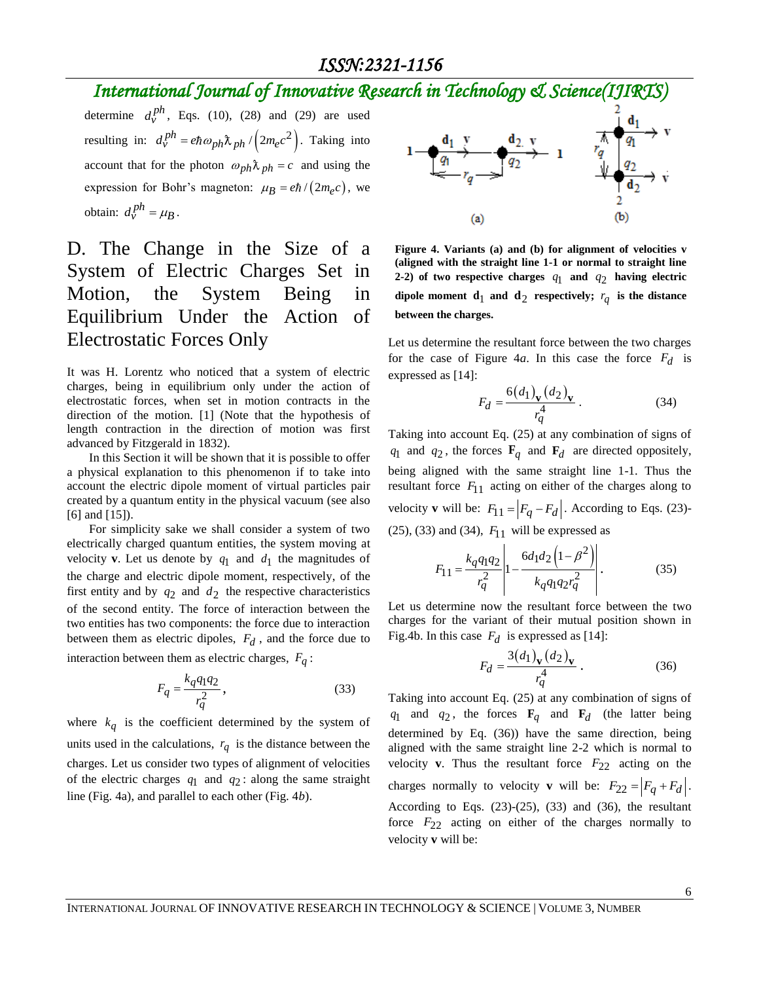## *International Journal of Innovative Research in Technology & Science(IJIRTS)*

determine  $d_v^{ph}$ , Eqs. (10), (28) and (29) are used resulting in:  $d_v^{ph} = e\hbar\omega_{ph}\lambda_{ph}/(2m_ec^2)$ . Taking into account that for the photon  $\omega_{ph} \lambda_{ph} = c$  and using the expression for Bohr's magneton:  $\mu_B = e\hbar/(2m_e c)$ , we obtain:  $d_v^{ph} = \mu_B$ .

### D. The Change in the Size of a System of Electric Charges Set in Motion, the System Being in Equilibrium Under the Action of Electrostatic Forces Only

It was H. Lorentz who noticed that a system of electric charges, being in equilibrium only under the action of electrostatic forces, when set in motion contracts in the direction of the motion. [1] (Note that the hypothesis of length contraction in the direction of motion was first advanced by Fitzgerald in 1832).

In this Section it will be shown that it is possible to offer a physical explanation to this phenomenon if to take into account the electric dipole moment of virtual particles pair created by a quantum entity in the physical vacuum (see also [6] and [15]).

For simplicity sake we shall consider a system of two electrically charged quantum entities, the system moving at velocity **v**. Let us denote by  $q_1$  and  $d_1$  the magnitudes of the charge and electric dipole moment, respectively, of the first entity and by  $q_2$  and  $d_2$  the respective characteristics of the second entity. The force of interaction between the two entities has two components: the force due to interaction between them as electric dipoles,  $F_d$ , and the force due to interaction between them as electric charges, *Fq* :

$$
F_q = \frac{k_q q_1 q_2}{r_q^2},\tag{33}
$$

where  $k_q$  is the coefficient determined by the system of units used in the calculations,  $r_q$  is the distance between the charges. Let us consider two types of alignment of velocities of the electric charges  $q_1$  and  $q_2$ : along the same straight line (Fig. 4a), and parallel to each other (Fig. 4*b*).



**Figure 4. Variants (a) and (b) for alignment of velocities v (aligned with the straight line 1-1 or normal to straight line 2-2**) of two respective charges  $q_1$  and  $q_2$  having electric dipole moment  $\mathbf{d}_1$  and  $\mathbf{d}_2$  respectively;  $r_q$  is the distance **between the charges.** 

Let us determine the resultant force between the two charges for the case of Figure 4*a*. In this case the force *Fd* is expressed as [14]:

$$
F_d = \frac{6(d_1)_\mathbf{v} (d_2)_\mathbf{v}}{r_q^4} \,. \tag{34}
$$

Taking into account Eq. (25) at any combination of signs of  $q_1$  and  $q_2$ , the forces  $\mathbf{F}_q$  and  $\mathbf{F}_d$  are directed oppositely, being aligned with the same straight line 1-1. Thus the resultant force  $F_{11}$  acting on either of the charges along to velocity **v** will be:  $F_{11} = |F_q - F_d|$ . According to Eqs. (23)-(25), (33) and (34),  $F_{11}$  will be expressed as

$$
F_{11} = \frac{k_q q_1 q_2}{r_q^2} \left| 1 - \frac{6d_1 d_2 \left( 1 - \beta^2 \right)}{k_q q_1 q_2 r_q^2} \right|.
$$
 (35)

Let us determine now the resultant force between the two charges for the variant of their mutual position shown in Fig.4b. In this case  $F_d$  is expressed as [14]:

$$
F_d = \frac{3(d_1)_\mathbf{v} (d_2)_\mathbf{v}}{r_q^4} \,. \tag{36}
$$

Taking into account Eq. (25) at any combination of signs of  $q_1$  and  $q_2$ , the forces  $\mathbf{F}_q$  and  $\mathbf{F}_d$  (the latter being determined by Eq. (36)) have the same direction, being aligned with the same straight line 2-2 which is normal to velocity **v**. Thus the resultant force  $F_{22}$  acting on the charges normally to velocity **v** will be:  $F_{22} = |F_q + F_d|$ . According to Eqs.  $(23)-(25)$ ,  $(33)$  and  $(36)$ , the resultant force  $F_{22}$  acting on either of the charges normally to velocity **v** will be: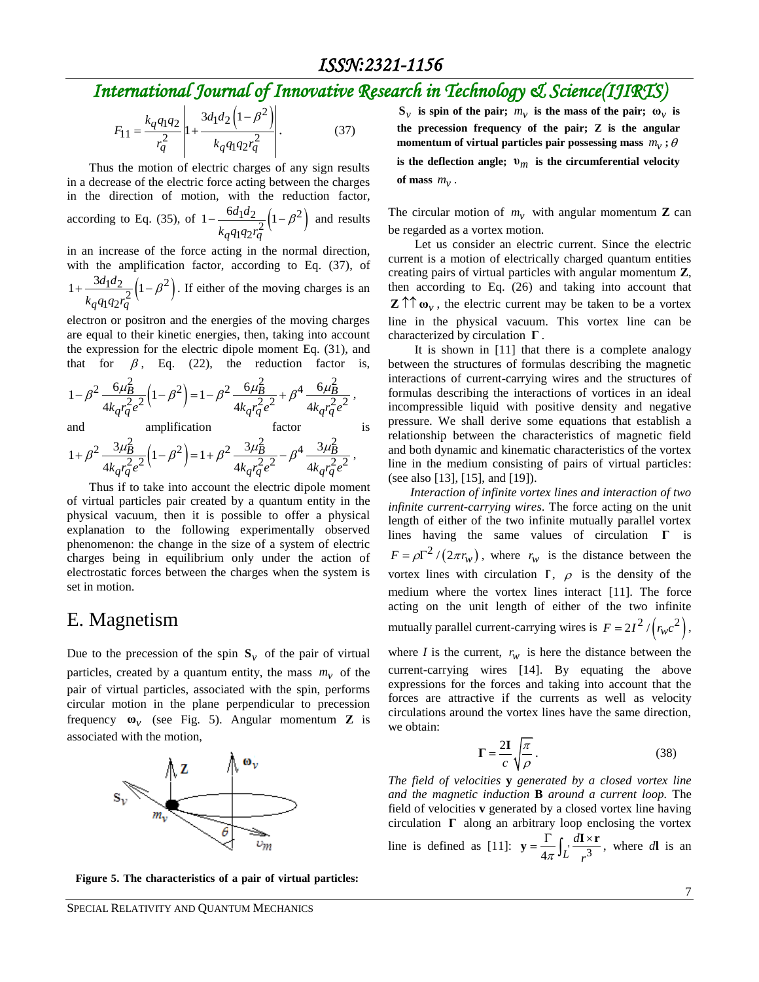$$
F_{11} = \frac{k_q q_1 q_2}{r_q^2} \left| 1 + \frac{3d_1 d_2 \left( 1 - \beta^2 \right)}{k_q q_1 q_2 r_q^2} \right|.
$$
 (37)

Thus the motion of electric charges of any sign results in a decrease of the electric force acting between the charges in the direction of motion, with the reduction factor, according to Eq. (35), of  $1 - \frac{6d_1d_2}{2} \left(1 - \beta^2\right)$  $q_1q_2r_q^2$  $1-\frac{6d_1d_2}{2}\Big(1$ *q q*  $d_1 d$ *k q q r*  $-\frac{6a_1a_2}{2}\left(1-\beta^2\right)$  and results

in an increase of the force acting in the normal direction, with the amplification factor, according to Eq. (37), of  $\frac{1}{2} \frac{d_2}{2} \left( 1 - \beta^2 \right)$ .  $q_1q_2r_q^2$  $1 + \frac{3d_1d_2}{2} \left( 1 \right)$ *q q*  $d_1 d$ *k q q r*  $+\frac{3a_1a_2}{2}\left(1-\beta^2\right)$ . If either of the moving charges is an

electron or positron and the energies of the moving charges are equal to their kinetic energies, then, taking into account the expression for the electric dipole moment Eq. (31), and

that for 
$$
\beta
$$
, Eq. (22), the reduction factor is,  
\n
$$
1 - \beta^2 \frac{6\mu_B^2}{4k_q r_q^2 e^2} \left(1 - \beta^2\right) = 1 - \beta^2 \frac{6\mu_B^2}{4k_q r_q^2 e^2} + \beta^4 \frac{6\mu_B^2}{4k_q r_q^2 e^2},
$$

and amplification factor is  
\n
$$
1 + \beta^2 \frac{3\mu_B^2}{\mu} (1 - \beta^2) = 1 + \beta^2 \frac{3\mu_B^2}{\mu} - \beta^4 \frac{3\mu_B^2}{\mu}.
$$

and  
\namplification factor  
\n
$$
1 + \beta^2 \frac{3\mu_B^2}{4k_q r_q^2 e^2} \Big( 1 - \beta^2 \Big) = 1 + \beta^2 \frac{3\mu_B^2}{4k_q r_q^2 e^2} - \beta^4 \frac{3\mu_B^2}{4k_q r_q^2 e^2},
$$

 $F_{11} = \frac{k_q q_1 q_2}{r_q^2} \left| 1 + \frac{3d_1 q_2}{k_q q_1 q_2 r_q^2} \right|$ .<br>
Thus the motion of electric charges of any<br>
in a decrease of the electric force acting between<br>
in the direction of motion, with the reduct<br>
according to Eq. (35 Thus if to take into account the electric dipole moment of virtual particles pair created by a quantum entity in the physical vacuum, then it is possible to offer a physical explanation to the following experimentally observed phenomenon: the change in the size of a system of electric charges being in equilibrium only under the action of electrostatic forces between the charges when the system is set in motion.

#### E. Magnetism

Due to the precession of the spin  $S_v$  of the pair of virtual particles, created by a quantum entity, the mass  $m<sub>v</sub>$  of the pair of virtual particles, associated with the spin, performs circular motion in the plane perpendicular to precession frequency  $\omega_v$  (see Fig. 5). Angular momentum **Z** is associated with the motion,



**Figure 5. The characteristics of a pair of virtual particles:** 

is the deflection angle;  $v_m$  is the circumferential velocity of mass  $m_v$ .

The circular motion of  $m_v$  with angular momentum **Z** can be regarded as a vortex motion.

Let us consider an electric current. Since the electric current is a motion of electrically charged quantum entities creating pairs of virtual particles with angular momentum **Z**, then according to Eq. (26) and taking into account that **Z**  $\uparrow \uparrow \omega_{\nu}$ , the electric current may be taken to be a vortex line in the physical vacuum. This vortex line can be characterized by circulation **Γ** .

It is shown in [11] that there is a complete analogy between the structures of formulas describing the magnetic interactions of current-carrying wires and the structures of formulas describing the interactions of vortices in an ideal incompressible liquid with positive density and negative pressure. We shall derive some equations that establish a relationship between the characteristics of magnetic field and both dynamic and kinematic characteristics of the vortex line in the medium consisting of pairs of virtual particles: (see also [13], [15], and [19]).

*Interaction of infinite vortex lines and interaction of two infinite current-carrying wires*. The force acting on the unit length of either of the two infinite mutually parallel vortex lines having the same values of circulation **Γ** is  $F = \rho \Gamma^2 / (2\pi r_w)$ , where  $r_w$  is the distance between the vortex lines with circulation  $\Gamma$ ,  $\rho$  is the density of the medium where the vortex lines interact [11]. The force acting on the unit length of either of the two infinite mutually parallel current-carrying wires is  $F = 2I^2 / (r_w c^2)$ ,

where *I* is the current,  $r_w$  is here the distance between the current-carrying wires [14]. By equating the above expressions for the forces and taking into account that the forces are attractive if the currents as well as velocity circulations around the vortex lines have the same direction, we obtain:

$$
\Gamma = \frac{2I}{c} \sqrt{\frac{\pi}{\rho}} \,. \tag{38}
$$

*The field of velocities* **y** *generated by a closed vortex line and the magnetic induction* **B** *around a current loop.* The field of velocities **v** generated by a closed vortex line having circulation  $\Gamma$  along an arbitrary loop enclosing the vortex line is defined as [11]:  $\mathbf{y} = \frac{1}{4\pi} \int_{L} \frac{d^{2}x}{r^{3}}$ *d*  $\pi$ <sup>J</sup>L<sub>r</sub>  $\mathbf{y} = \frac{\Gamma}{4\pi} \int_{L} \frac{d\mathbf{l} \times \mathbf{r}}{r^3}$ , where *d***l** is an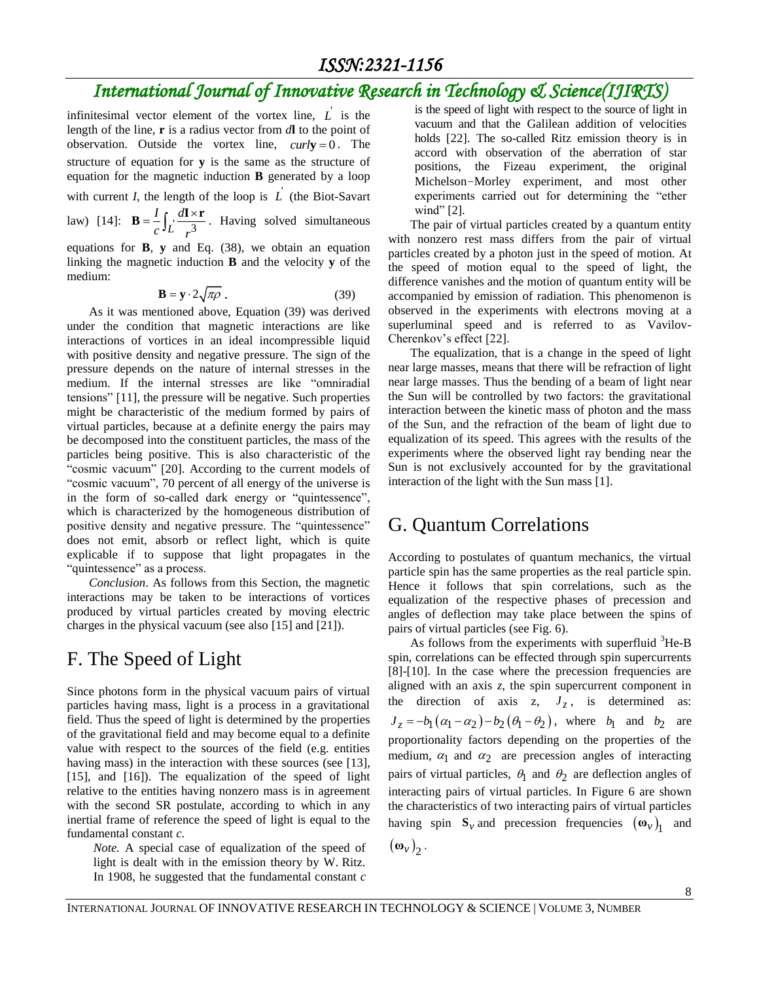infinitesimal vector element of the vortex line,  $\vec{L}$  is the length of the line, **r** is a radius vector from *d***l** to the point of observation. Outside the vortex line,  $\text{curl } y = 0$ . The structure of equation for **y** is the same as the structure of equation for the magnetic induction **B** generated by a loop

with current *I*, the length of the loop is  $\overrightarrow{L}$  (the Biot-Savart

law) [14]:  $\mathbf{B} = \frac{1}{c} \int_{L} \frac{d\mathbf{I} \times (1 - \mu)}{r^3}$ *I d*  $c^{J}L$  *r*  $\mathbf{B} = \frac{I}{C} \int_{L} \frac{d\mathbf{I} \times \mathbf{r}}{r^3}$ . Having solved simultaneous

equations for **B**, **y** and Eq. (38), we obtain an equation linking the magnetic induction **B** and the velocity **y** of the medium:

$$
\mathbf{B} = \mathbf{y} \cdot 2\sqrt{\pi \rho} \tag{39}
$$

As it was mentioned above, Equation (39) was derived under the condition that magnetic interactions are like interactions of vortices in an ideal incompressible liquid with positive density and negative pressure. The sign of the pressure depends on the nature of internal stresses in the medium. If the internal stresses are like "omniradial tensions" [11], the pressure will be negative. Such properties might be characteristic of the medium formed by pairs of virtual particles, because at a definite energy the pairs may be decomposed into the constituent particles, the mass of the particles being positive. This is also characteristic of the "cosmic vacuum" [20]. According to the current models of "cosmic vacuum", 70 percent of all energy of the universe is in the form of so-called dark energy or "quintessence", which is characterized by the homogeneous distribution of positive density and negative pressure. The "quintessence" does not emit, absorb or reflect light, which is quite explicable if to suppose that light propagates in the "quintessence" as a process.

*Conclusion*. As follows from this Section, the magnetic interactions may be taken to be interactions of vortices produced by virtual particles created by moving electric charges in the physical vacuum (see also [15] and [21]).

#### F. The Speed of Light

Since photons form in the physical vacuum pairs of virtual particles having mass, light is a process in a gravitational field. Thus the speed of light is determined by the properties of the gravitational field and may become equal to a definite value with respect to the sources of the field (e.g. entities having mass) in the interaction with these sources (see [13], [15], and [16]). The equalization of the speed of light relative to the entities having nonzero mass is in agreement with the second SR postulate, according to which in any inertial frame of reference the speed of light is equal to the fundamental constant *c.*

*Note.* A special case of equalization of the speed of light is dealt with in the emission theory by W. Ritz. In 1908, he suggested that the fundamental constant *c* 

is the speed of light with respect to the source of light in vacuum and that the Galilean addition of velocities holds [22]. The so-called Ritz emission theory is in accord with observation of the aberration of star positions, the Fizeau experiment, the original Michelson–Morley experiment, and most other experiments carried out for determining the "ether wind" [2].

The pair of virtual particles created by a quantum entity with nonzero rest mass differs from the pair of virtual particles created by a photon just in the speed of motion. At the speed of motion equal to the speed of light, the difference vanishes and the motion of quantum entity will be accompanied by emission of radiation. This phenomenon is observed in the experiments with electrons moving at a superluminal speed and is referred to as Vavilov-Cherenkov's effect [22].

The equalization, that is a change in the speed of light near large masses, means that there will be refraction of light near large masses. Thus the bending of a beam of light near the Sun will be controlled by two factors: the gravitational interaction between the kinetic mass of photon and the mass of the Sun, and the refraction of the beam of light due to equalization of its speed. This agrees with the results of the experiments where the observed light ray bending near the Sun is not exclusively accounted for by the gravitational interaction of the light with the Sun mass [1].

#### G. Quantum Correlations

According to postulates of quantum mechanics, the virtual particle spin has the same properties as the real particle spin. Hence it follows that spin correlations, such as the equalization of the respective phases of precession and angles of deflection may take place between the spins of pairs of virtual particles (see Fig. 6).

As follows from the experiments with superfluid  ${}^{3}$ He-B spin, correlations can be effected through spin supercurrents [8]-[10]. In the case where the precession frequencies are aligned with an axis *z*, the spin supercurrent component in the direction of axis  $z$ ,  $J_z$ , is determined as:  $J_z = -b_1(\alpha_1 - \alpha_2) - b_2(\theta_1 - \theta_2)$ , where  $b_1$  and  $b_2$  are proportionality factors depending on the properties of the medium,  $\alpha_1$  and  $\alpha_2$  are precession angles of interacting pairs of virtual particles,  $\theta_1$  and  $\theta_2$  are deflection angles of interacting pairs of virtual particles. In Figure 6 are shown the characteristics of two interacting pairs of virtual particles having spin  $S_v$  and precession frequencies  $(\omega_v)_1$  and

$$
(\mathbf{\omega}_{v})_{2}.
$$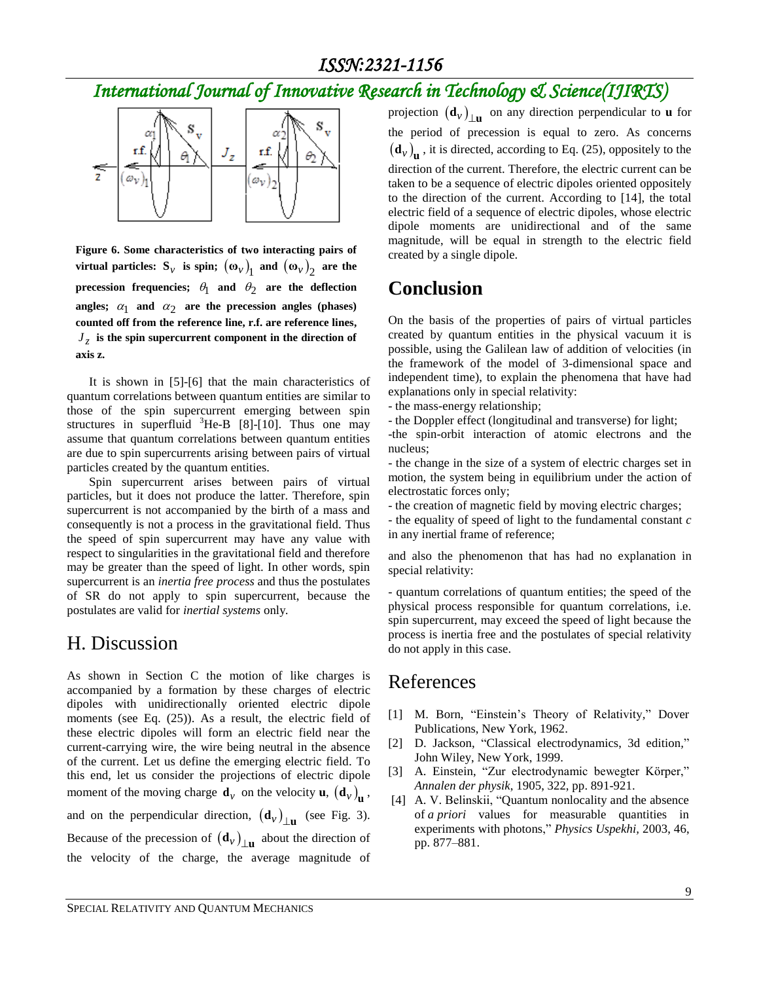## *International Journal of Innovative Research in Technology & Science(IJIRTS)*



**Figure 6. Some characteristics of two interacting pairs of virtual particles:**  $S_v$  is spin;  $(\omega_v)_1$  and  $(\omega_v)_2$  are the precession frequencies;  $\theta_1$  and  $\theta_2$  are the deflection angles;  $\alpha_1$  and  $\alpha_2$  are the precession angles (phases) **counted off from the reference line, r.f. are reference lines,**   $J_z$  is the spin supercurrent component in the direction of **axis z.**

It is shown in [5]-[6] that the main characteristics of quantum correlations between quantum entities are similar to those of the spin supercurrent emerging between spin structures in superfluid  ${}^{3}$ He-B [8]-[10]. Thus one may assume that quantum correlations between quantum entities are due to spin supercurrents arising between pairs of virtual particles created by the quantum entities.

Spin supercurrent arises between pairs of virtual particles, but it does not produce the latter. Therefore, spin supercurrent is not accompanied by the birth of a mass and consequently is not a process in the gravitational field. Thus the speed of spin supercurrent may have any value with respect to singularities in the gravitational field and therefore may be greater than the speed of light. In other words, spin supercurrent is an *inertia free process* and thus the postulates of SR do not apply to spin supercurrent, because the postulates are valid for *inertial systems* only*.*

#### H. Discussion

As shown in Section C the motion of like charges is accompanied by a formation by these charges of electric dipoles with unidirectionally oriented electric dipole moments (see Eq. (25)). As a result, the electric field of these electric dipoles will form an electric field near the current-carrying wire, the wire being neutral in the absence of the current. Let us define the emerging electric field. To this end, let us consider the projections of electric dipole moment of the moving charge  $\mathbf{d}_v$  on the velocity **u**,  $(\mathbf{d}_v)_{\mathbf{u}}$ , and on the perpendicular direction,  $(d_v)_{\perp}$  (see Fig. 3). Because of the precession of  $(d_v)$ <sub>Lu</sub> about the direction of the velocity of the charge, the average magnitude of

projection  $(d_v)$ <sub> $\perp$ **u** on any direction perpendicular to **u** for</sub> the period of precession is equal to zero. As concerns  $(d_v)$ <sub>**u**</sub>, it is directed, according to Eq. (25), oppositely to the direction of the current. Therefore, the electric current can be taken to be a sequence of electric dipoles oriented oppositely to the direction of the current. According to [14], the total electric field of a sequence of electric dipoles, whose electric dipole moments are unidirectional and of the same magnitude, will be equal in strength to the electric field created by a single dipole.

#### **Conclusion**

On the basis of the properties of pairs of virtual particles created by quantum entities in the physical vacuum it is possible, using the Galilean law of addition of velocities (in the framework of the model of 3-dimensional space and independent time), to explain the phenomena that have had explanations only in special relativity:

- the mass-energy relationship;
- the Doppler effect (longitudinal and transverse) for light;

-the spin-orbit interaction of atomic electrons and the nucleus;

- the change in the size of a system of electric charges set in motion, the system being in equilibrium under the action of electrostatic forces only;

- the creation of magnetic field by moving electric charges;

- the equality of speed of light to the fundamental constant *c* in any inertial frame of reference;

and also the phenomenon that has had no explanation in special relativity:

- quantum correlations of quantum entities; the speed of the physical process responsible for quantum correlations, i.e. spin supercurrent, may exceed the speed of light because the process is inertia free and the postulates of special relativity do not apply in this case.

#### References

- [1] M. Born, "Einstein's Theory of Relativity*,*" Dover Publications, New York, 1962.
- [2] D. Jackson, "Classical electrodynamics, 3d edition*,*" John Wiley, New York, 1999.
- [3] A. Einstein, "Zur electrodynamic bewegter Körper," *Annalen der physik*, 1905, 322, pp. 891-921.
- [4] A. V. Belinskii, ["Quantum nonlocality and the absence](http://ufn.ru/en/articles/2003/8/j/) of *a priori* [values for measurable quantities in](http://ufn.ru/en/articles/2003/8/j/)  [experiments with photons,](http://ufn.ru/en/articles/2003/8/j/)" *Physics Uspekhi,* 2003, 46, pp. 877–881.